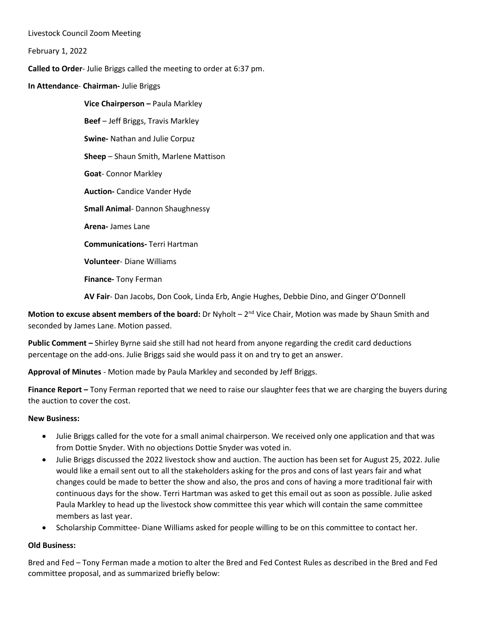Livestock Council Zoom Meeting

February 1, 2022

**Called to Order**- Julie Briggs called the meeting to order at 6:37 pm.

**In Attendance**- **Chairman-** Julie Briggs

**Vice Chairperson –** Paula Markley **Beef** – Jeff Briggs, Travis Markley **Swine-** Nathan and Julie Corpuz **Sheep** – Shaun Smith, Marlene Mattison **Goat**- Connor Markley **Auction-** Candice Vander Hyde **Small Animal**- Dannon Shaughnessy **Arena-** James Lane **Communications-** Terri Hartman **Volunteer**- Diane Williams

**Finance-** Tony Ferman

**AV Fair**- Dan Jacobs, Don Cook, Linda Erb, Angie Hughes, Debbie Dino, and Ginger O'Donnell

**Motion to excuse absent members of the board:** Dr Nyholt – 2<sup>nd</sup> Vice Chair, Motion was made by Shaun Smith and seconded by James Lane. Motion passed.

**Public Comment –** Shirley Byrne said she still had not heard from anyone regarding the credit card deductions percentage on the add-ons. Julie Briggs said she would pass it on and try to get an answer.

**Approval of Minutes** - Motion made by Paula Markley and seconded by Jeff Briggs.

**Finance Report –** Tony Ferman reported that we need to raise our slaughter fees that we are charging the buyers during the auction to cover the cost.

## **New Business:**

- Julie Briggs called for the vote for a small animal chairperson. We received only one application and that was from Dottie Snyder. With no objections Dottie Snyder was voted in.
- Julie Briggs discussed the 2022 livestock show and auction. The auction has been set for August 25, 2022. Julie would like a email sent out to all the stakeholders asking for the pros and cons of last years fair and what changes could be made to better the show and also, the pros and cons of having a more traditional fair with continuous days for the show. Terri Hartman was asked to get this email out as soon as possible. Julie asked Paula Markley to head up the livestock show committee this year which will contain the same committee members as last year.
- Scholarship Committee- Diane Williams asked for people willing to be on this committee to contact her.

## **Old Business:**

Bred and Fed – Tony Ferman made a motion to alter the Bred and Fed Contest Rules as described in the Bred and Fed committee proposal, and as summarized briefly below: